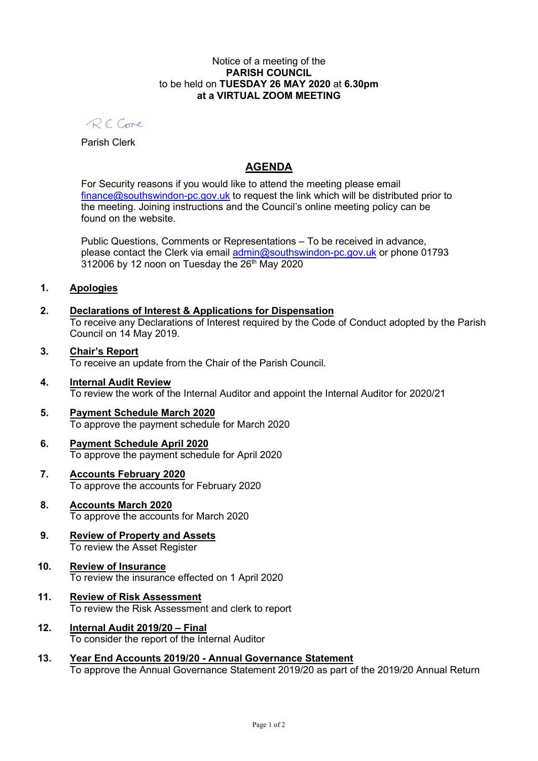### Notice of a meeting of the PARISH COUNCIL to be held on TUESDAY 26 MAY 2020 at 6.30pm at a VIRTUAL ZOOM MEETING

RECone

Parish Clerk

# AGENDA

For Security reasons if you would like to attend the meeting please email finance@southswindon-pc.gov.uk to request the link which will be distributed prior to the meeting. Joining instructions and the Council's online meeting policy can be found on the website.

Public Questions, Comments or Representations – To be received in advance, please contact the Clerk via email admin@southswindon-pc.gov.uk or phone 01793  $312006$  by 12 noon on Tuesday the  $26<sup>th</sup>$  May 2020

## 1. Apologies

## 2. Declarations of Interest & Applications for Dispensation

To receive any Declarations of Interest required by the Code of Conduct adopted by the Parish Council on 14 May 2019.

### 3. Chair's Report To receive an update from the Chair of the Parish Council.

- 4. Internal Audit Review To review the work of the Internal Auditor and appoint the Internal Auditor for 2020/21
- 5. Payment Schedule March 2020 To approve the payment schedule for March 2020

#### 6. Payment Schedule April 2020 To approve the payment schedule for April 2020

## 7. Accounts February 2020 To approve the accounts for February 2020

- 8. Accounts March 2020 To approve the accounts for March 2020
- 9. Review of Property and Assets To review the Asset Register

## 10. Review of Insurance To review the insurance effected on 1 April 2020

- 11. Review of Risk Assessment To review the Risk Assessment and clerk to report
- 12. Internal Audit 2019/20 Final To consider the report of the Internal Auditor
- 13. Year End Accounts 2019/20 Annual Governance Statement To approve the Annual Governance Statement 2019/20 as part of the 2019/20 Annual Return